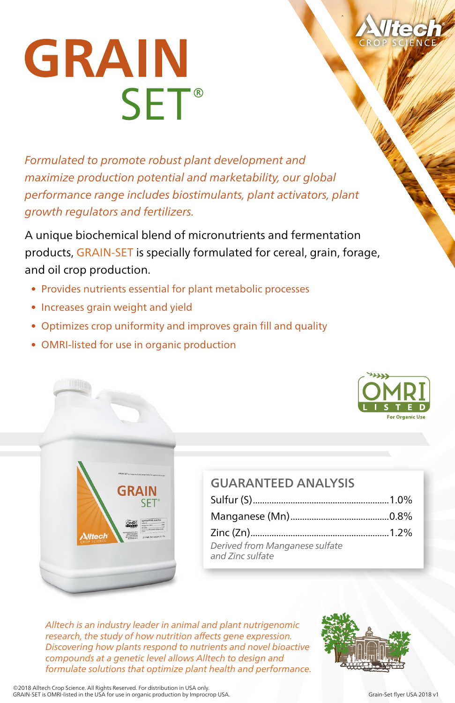

## **GRAIN SET®**

*Formulated to promote robust plant development and maximize production potential and marketability, our global performance range includes biostimulants, plant activators, plant growth regulators and fertilizers.*

A unique biochemical blend of micronutrients and fermentation products, GRAIN-SET is specially formulated for cereal, grain, forage, and oil crop production.

- Provides nutrients essential for plant metabolic processes
- Increases grain weight and yield
- Optimizes crop uniformity and improves grain fill and quality
- OMRI-listed for use in organic production



|  |  | <b>For Organic Use</b> |  |
|--|--|------------------------|--|

## GUARANTEED ANALYSIS Sulfur (S)..........................................................1.0% Manganese (Mn)..........................................0.8% Zinc (Zn)...........................................................1.2% *Derived from Manganese sulfate and Zinc sulfate*

*Alltech is an industry leader in animal and plant nutrigenomic research, the study of how nutrition affects gene expression. Discovering how plants respond to nutrients and novel bioactive compounds at a genetic level allows Alltech to design and formulate solutions that optimize plant health and performance.*